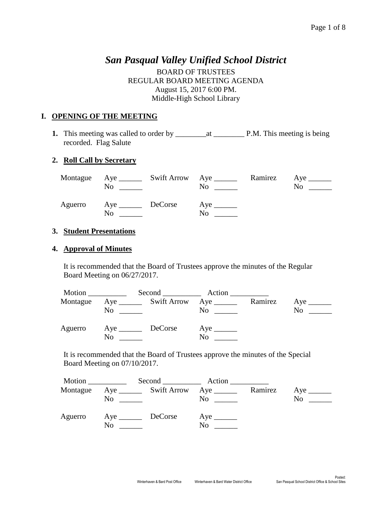# *San Pasqual Valley Unified School District*

BOARD OF TRUSTEES REGULAR BOARD MEETING AGENDA August 15, 2017 6:00 PM. Middle-High School Library

### **I. OPENING OF THE MEETING**

**1.** This meeting was called to order by \_\_\_\_\_\_\_\_at \_\_\_\_\_\_\_\_ P.M. This meeting is being recorded. Flag Salute

#### **2. Roll Call by Secretary**

| No.                               | Montague Aye ________ Swift Arrow Aye ______<br>$\overline{\text{No}}$ $\overline{\text{)}}$ | Ramirez Aye ________<br>No. |
|-----------------------------------|----------------------------------------------------------------------------------------------|-----------------------------|
| Aguerro Aye <u>DeCorse</u><br>No. | $Aye$ <sub>________</sub><br>No.                                                             |                             |

#### **3. Student Presentations**

#### **4. Approval of Minutes**

It is recommended that the Board of Trustees approve the minutes of the Regular Board Meeting on 06/27/2017.

| Motion   |                |                                         | Second Action |         |    |
|----------|----------------|-----------------------------------------|---------------|---------|----|
| Montague | N <sub>0</sub> | Aye __________ Swift Arrow Aye ________ | No            | Ramirez | No |
| Aguerro  | No             | DeCorse                                 | No            |         |    |

It is recommended that the Board of Trustees approve the minutes of the Special Board Meeting on 07/10/2017.

| Motion   |    |                                       | Second Action  |         |    |
|----------|----|---------------------------------------|----------------|---------|----|
| Montague | No | Aye _________ Swift Arrow Aye _______ | N <sub>0</sub> | Ramirez | No |
| Aguerro  | No |                                       | No             |         |    |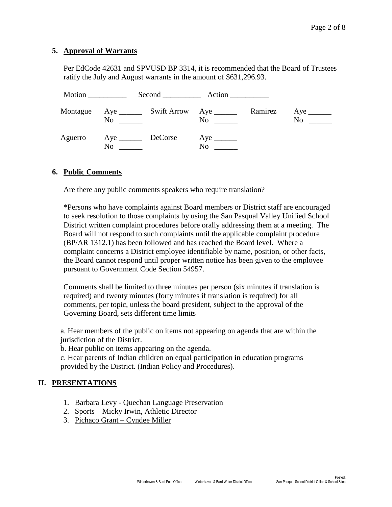#### **5. Approval of Warrants**

Per EdCode 42631 and SPVUSD BP 3314, it is recommended that the Board of Trustees ratify the July and August warrants in the amount of \$631,296.93.

| Motion ___________ |                                                       | Second Action    |         |                            |
|--------------------|-------------------------------------------------------|------------------|---------|----------------------------|
| Montague           | No                                                    | $\overline{N}$ o | Ramirez | No<br><u>and the state</u> |
| Aguerro            | Aye DeCorse<br>N <sub>0</sub><br><u>and the state</u> | N <sub>0</sub>   |         |                            |

#### **6. Public Comments**

Are there any public comments speakers who require translation?

\*Persons who have complaints against Board members or District staff are encouraged to seek resolution to those complaints by using the San Pasqual Valley Unified School District written complaint procedures before orally addressing them at a meeting. The Board will not respond to such complaints until the applicable complaint procedure (BP/AR 1312.1) has been followed and has reached the Board level. Where a complaint concerns a District employee identifiable by name, position, or other facts, the Board cannot respond until proper written notice has been given to the employee pursuant to Government Code Section 54957.

Comments shall be limited to three minutes per person (six minutes if translation is required) and twenty minutes (forty minutes if translation is required) for all comments, per topic, unless the board president, subject to the approval of the Governing Board, sets different time limits

a. Hear members of the public on items not appearing on agenda that are within the jurisdiction of the District.

b. Hear public on items appearing on the agenda.

c. Hear parents of Indian children on equal participation in education programs provided by the District. (Indian Policy and Procedures).

#### **II. PRESENTATIONS**

- 1. Barbara Levy Quechan Language Preservation
- 2. Sports Micky Irwin, Athletic Director
- 3. Pichaco Grant Cyndee Miller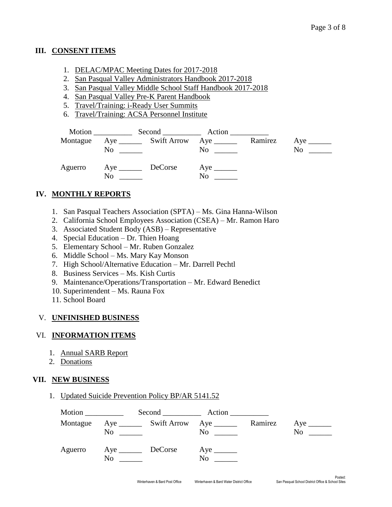### **III. CONSENT ITEMS**

- 1. DELAC/MPAC Meeting Dates for 2017-2018
- 2. San Pasqual Valley Administrators Handbook 2017-2018
- 3. San Pasqual Valley Middle School Staff Handbook 2017-2018
- 4. San Pasqual Valley Pre-K Parent Handbook
- 5. Travel/Training: i-Ready User Summits
- 6. Travel/Training: ACSA Personnel Institute

|         | No.                         | Montague Aye ________ Swift Arrow Aye _______<br>$\overline{N}$ o $\overline{\phantom{m}}$ | Ramirez | $Aye$ <sub>_______</sub><br>No |
|---------|-----------------------------|--------------------------------------------------------------------------------------------|---------|--------------------------------|
| Aguerro | Aye _________ DeCorse<br>No | $Aye$ <sub>_________</sub><br>No                                                           |         |                                |

# **IV. MONTHLY REPORTS**

- 1. San Pasqual Teachers Association (SPTA) Ms. Gina Hanna-Wilson
- 2. California School Employees Association (CSEA) Mr. Ramon Haro
- 3. Associated Student Body (ASB) Representative
- 4. Special Education Dr. Thien Hoang
- 5. Elementary School Mr. Ruben Gonzalez
- 6. Middle School Ms. Mary Kay Monson
- 7. High School/Alternative Education Mr. Darrell Pechtl
- 8. Business Services Ms. Kish Curtis
- 9. Maintenance/Operations/Transportation Mr. Edward Benedict
- 10. Superintendent Ms. Rauna Fox
- 11. School Board

# V. **UNFINISHED BUSINESS**

# VI. **INFORMATION ITEMS**

- 1. Annual SARB Report
- 2. Donations

# **VII. NEW BUSINESS**

1. Updated Suicide Prevention Policy BP/AR 5141.52

| Motion ___________ |                                             | Second Action                               |         |                |
|--------------------|---------------------------------------------|---------------------------------------------|---------|----------------|
| Montague           | $\overline{N}$ o $\overline{\phantom{nnn}}$ | $\overline{N_0}$ $\overline{\phantom{nnn}}$ | Ramirez | N <sub>0</sub> |
| Aguerro            | Aye DeCorse<br>N <sub>0</sub>               | N <sub>0</sub>                              |         |                |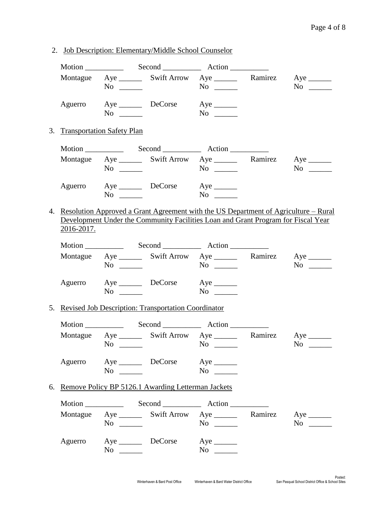2. Job Description: Elementary/Middle School Counselor

|    |            |                               | Motion Second Action                                                                                                                                                                                                                                                                                       |            |                                                                                                                |
|----|------------|-------------------------------|------------------------------------------------------------------------------------------------------------------------------------------------------------------------------------------------------------------------------------------------------------------------------------------------------------|------------|----------------------------------------------------------------------------------------------------------------|
|    |            | $No \ \_$                     | Montague Aye _________ Swift Arrow Aye __________ Ramirez Aye ________                                                                                                                                                                                                                                     | $No \ \_$  | $No \ \_$                                                                                                      |
|    | Aguerro    | $No \ \_$                     | Aye __________ DeCorse                                                                                                                                                                                                                                                                                     | $No \ \_$  |                                                                                                                |
|    |            | 3. Transportation Safety Plan |                                                                                                                                                                                                                                                                                                            |            |                                                                                                                |
|    |            |                               |                                                                                                                                                                                                                                                                                                            |            |                                                                                                                |
|    |            | $No \ \_$                     | Montague Aye ________ Swift Arrow Aye _________ Ramirez Aye _______                                                                                                                                                                                                                                        |            | $No \ \_$                                                                                                      |
|    |            |                               | Aguerro Aye DeCorse Aye<br>$\text{No}$ $\text{No}$ $\text{No}$                                                                                                                                                                                                                                             |            |                                                                                                                |
| 4. | 2016-2017. |                               | Resolution Approved a Grant Agreement with the US Department of Agriculture – Rural<br>Development Under the Community Facilities Loan and Grant Program for Fiscal Year                                                                                                                                   |            |                                                                                                                |
|    |            |                               |                                                                                                                                                                                                                                                                                                            |            |                                                                                                                |
|    |            | $No \ \_$                     | Montague Aye ________ Swift Arrow Aye ________ Ramirez Aye _______                                                                                                                                                                                                                                         |            | $No \ \_$                                                                                                      |
|    |            | $No \_$                       | Aguerro Aye DeCorse Aye ________                                                                                                                                                                                                                                                                           |            |                                                                                                                |
|    |            |                               | 5. Revised Job Description: Transportation Coordinator                                                                                                                                                                                                                                                     |            |                                                                                                                |
|    |            |                               | Motion Second Record Action                                                                                                                                                                                                                                                                                |            |                                                                                                                |
|    |            | No                            | Montague Aye ________ Swift Arrow Aye ________ Ramirez Aye _______<br><u> Albanya di Kabupatén Bandung Kabupatén Bandung Kabupatén Bandung Kabupatén Bandung Kabupatén Bandung Kabupatén Bandung Kabupatén Bandung Kabupatén Bandung Kabupatén Bandung Kabupatén Bandung Kabupatén Bandung Kabupatén B</u> | $No \ \ \$ | No                                                                                                             |
|    |            | $No \ \_$                     | Aguerro Aye DeCorse Aye ________                                                                                                                                                                                                                                                                           | $No \ \_$  |                                                                                                                |
|    |            |                               | 6. Remove Policy BP 5126.1 Awarding Letterman Jackets                                                                                                                                                                                                                                                      |            |                                                                                                                |
|    |            |                               |                                                                                                                                                                                                                                                                                                            |            |                                                                                                                |
|    |            | $No \_$                       | Montague Aye _______ Swift Arrow Aye _______ Ramirez Aye ______                                                                                                                                                                                                                                            | $No \ \_$  | No new years of the New York of the New York of the New York of the New York of the New York of the New York o |
|    | Aguerro    |                               | Aye DeCorse Aye<br>$\overline{\text{No}}$                                                                                                                                                                                                                                                                  | $No \ \_$  |                                                                                                                |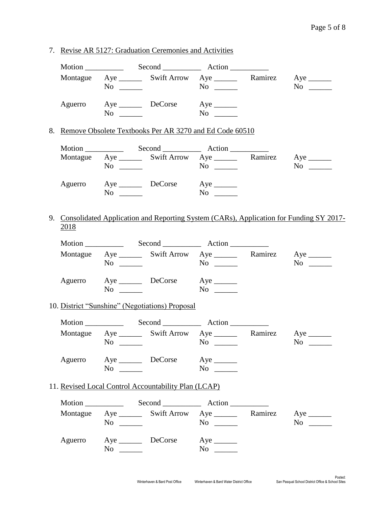7. Revise AR 5127: Graduation Ceremonies and Activities

|             | $No \ \_$ | Montague Aye ________ Swift Arrow Aye _________ Ramirez Aye _______ | $No \ \_$                             | $No \ \_$                                                                                 |
|-------------|-----------|---------------------------------------------------------------------|---------------------------------------|-------------------------------------------------------------------------------------------|
| Aguerro     | $No \ \_$ | Aye DeCorse Aye                                                     |                                       |                                                                                           |
|             |           | 8. Remove Obsolete Textbooks Per AR 3270 and Ed Code 60510          |                                       |                                                                                           |
|             |           |                                                                     |                                       |                                                                                           |
|             |           | Montague Aye ________ Swift Arrow Aye _________ Ramirez Aye _______ |                                       |                                                                                           |
|             | $No \ \_$ | Aguerro Aye DeCorse Aye _______                                     |                                       |                                                                                           |
| <u>2018</u> |           |                                                                     |                                       | 9. Consolidated Application and Reporting System (CARs), Application for Funding SY 2017- |
|             |           |                                                                     |                                       |                                                                                           |
|             | $No \ \_$ | Montague Aye ________ Swift Arrow Aye ________ Ramirez Aye _______  |                                       | $No \ \_$                                                                                 |
|             | $No \ \_$ | Aguerro Aye DeCorse Aye ________                                    |                                       |                                                                                           |
|             |           | 10. District "Sunshine" (Negotiations) Proposal                     |                                       |                                                                                           |
|             |           |                                                                     |                                       |                                                                                           |
|             | $No \ \_$ | Montague Aye ________ Swift Arrow Aye _________ Ramirez Aye _______ |                                       | $No \ \_$                                                                                 |
| Aguerro     | $No \ \_$ | Aye DeCorse Aye                                                     | $No \_$                               |                                                                                           |
|             |           | 11. Revised Local Control Accountability Plan (LCAP)                |                                       |                                                                                           |
|             |           |                                                                     |                                       |                                                                                           |
|             | $No \ \_$ | Montague Aye ________ Swift Arrow Aye ________ Ramirez Aye _______  |                                       | $No \_$                                                                                   |
| Aguerro     | $No \ \_$ | Aye __________ DeCorse                                              | $Aye$ <sub>_______</sub><br>$No \ \_$ |                                                                                           |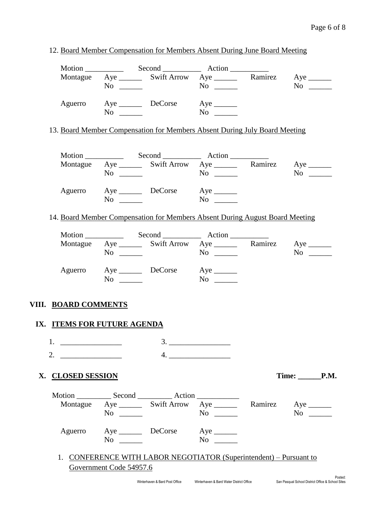|                             |                         | Montague Aye ________ Swift Arrow Aye ________ Ramirez Aye _______                                                        |           |                          |
|-----------------------------|-------------------------|---------------------------------------------------------------------------------------------------------------------------|-----------|--------------------------|
|                             | $No \_$                 |                                                                                                                           | $No \ \_$ | $No \ \_$                |
|                             |                         | Aguerro Aye DeCorse Aye                                                                                                   |           |                          |
|                             |                         |                                                                                                                           |           |                          |
|                             |                         | 13. Board Member Compensation for Members Absent During July Board Meeting                                                |           |                          |
|                             |                         |                                                                                                                           |           |                          |
|                             |                         |                                                                                                                           |           |                          |
|                             |                         | Montague Aye ________ Swift Arrow Aye ________ Ramirez Aye _______                                                        |           |                          |
|                             | $No \ \_$               |                                                                                                                           |           | $No \ \_$                |
|                             |                         | Aguerro Aye DeCorse Aye ________                                                                                          |           |                          |
|                             |                         | $\text{No}$ $\text{No}$ $\text{No}$                                                                                       |           |                          |
|                             |                         | 14. Board Member Compensation for Members Absent During August Board Meeting                                              |           |                          |
|                             |                         |                                                                                                                           |           |                          |
|                             |                         | Montague Aye ________ Swift Arrow Aye ________ Ramirez Aye _______                                                        |           |                          |
|                             | $No \ \_$               |                                                                                                                           | $No \ \_$ | $No \_$                  |
|                             |                         |                                                                                                                           |           |                          |
|                             |                         | Aguerro Aye DeCorse Aye                                                                                                   |           |                          |
|                             | $No \ \_$               |                                                                                                                           | $No \ \_$ |                          |
|                             |                         |                                                                                                                           |           |                          |
| VIII. BOARD COMMENTS        |                         |                                                                                                                           |           |                          |
| IX. ITEMS FOR FUTURE AGENDA |                         |                                                                                                                           |           |                          |
|                             |                         | 3.                                                                                                                        |           |                          |
| 1.                          |                         |                                                                                                                           |           |                          |
| 2. $\qquad \qquad$          |                         |                                                                                                                           | 4.        |                          |
| X. CLOSED SESSION           |                         |                                                                                                                           |           | $Time: \_\_\_\_P.M.$     |
|                             |                         |                                                                                                                           |           |                          |
|                             |                         |                                                                                                                           |           |                          |
|                             | $No \ \_$               | Montague Aye _________ Swift Arrow Aye _______                                                                            | $No \ \_$ | Ramirez Aye<br>$No \t —$ |
|                             |                         |                                                                                                                           |           |                          |
|                             |                         | Aguerro Aye DeCorse Aye ________                                                                                          |           |                          |
|                             | $No \ \_$               |                                                                                                                           |           |                          |
|                             |                         |                                                                                                                           |           |                          |
|                             |                         |                                                                                                                           |           |                          |
|                             | Government Code 54957.6 | 1. CONFERENCE WITH LABOR NEGOTIATOR (Superintendent) - Pursuant to                                                        |           |                          |
|                             |                         | Winterhaven & Bard Post Office Minterhaven & Bard Water District Office San Pasqual School District Office & School Sites |           |                          |

12. Board Member Compensation for Members Absent During June Board Meeting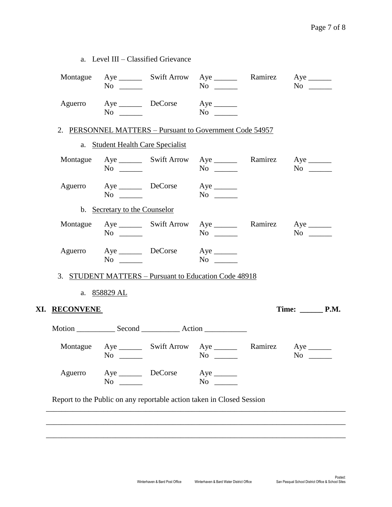|               | a. Level III - Classified Grievance   |                                               |                                                                     |         |                                       |
|---------------|---------------------------------------|-----------------------------------------------|---------------------------------------------------------------------|---------|---------------------------------------|
|               | $No \ \_$                             |                                               | Montague Aye ________ Swift Arrow Aye _________ Ramirez Aye _______ |         | $No \ \_$                             |
|               |                                       | Aguerro Aye DeCorse Aye _______<br>$No \t No$ |                                                                     |         |                                       |
|               |                                       |                                               | 2. PERSONNEL MATTERS - Pursuant to Government Code 54957            |         |                                       |
|               | a. Student Health Care Specialist     |                                               |                                                                     |         |                                       |
|               | $No \ \_$                             |                                               | Montague Aye ________ Swift Arrow Aye _________ Ramirez Aye _______ |         | $No \ \_$                             |
|               | $No \_\_$                             | Aguerro Aye DeCorse Aye                       |                                                                     |         |                                       |
|               | b. Secretary to the Counselor         |                                               |                                                                     |         |                                       |
|               | $No \_$                               |                                               | Montague Aye ________ Swift Arrow Aye ________ Ramirez Aye _______  |         | $No \t —$                             |
|               | $No \ \_$                             | Aguerro Aye DeCorse Aye ________              |                                                                     |         |                                       |
|               |                                       |                                               | 3. STUDENT MATTERS - Pursuant to Education Code 48918               |         |                                       |
|               | a. 858829 AL                          |                                               |                                                                     |         |                                       |
| XI. RECONVENE |                                       |                                               |                                                                     |         | Time: $\_\_\_\_\_\_\$ P.M.            |
|               |                                       |                                               |                                                                     |         |                                       |
| Montague      | $Aye$ <sub>_______</sub><br>$No \ \_$ |                                               | Swift Arrow Aye<br>$No \ \_$                                        | Ramirez | $Aye$ <sub>_______</sub><br>$No \ \_$ |
|               | Aye __________ DeCorse                |                                               | $Aye$ <sub>______</sub><br>$No \ \_$                                |         |                                       |
| Aguerro       | $No \ \_$                             |                                               |                                                                     |         |                                       |

\_\_\_\_\_\_\_\_\_\_\_\_\_\_\_\_\_\_\_\_\_\_\_\_\_\_\_\_\_\_\_\_\_\_\_\_\_\_\_\_\_\_\_\_\_\_\_\_\_\_\_\_\_\_\_\_\_\_\_\_\_\_\_\_\_\_\_\_\_\_\_\_\_\_\_\_\_\_